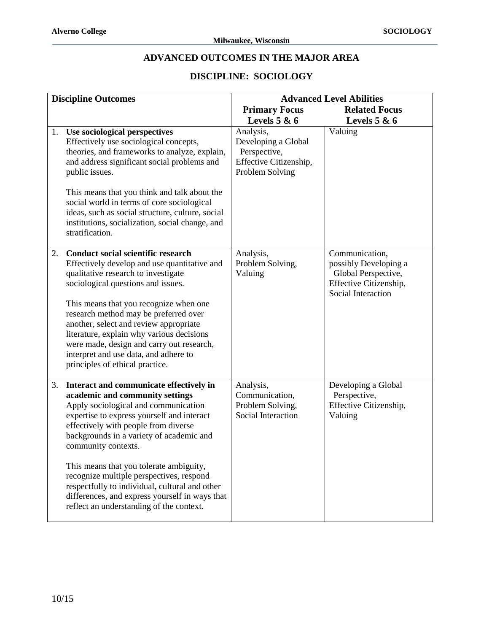## **ADVANCED OUTCOMES IN THE MAJOR AREA**

## **DISCIPLINE: SOCIOLOGY**

| <b>Discipline Outcomes</b> |                                                                                                                                                                                                                                                                                                                                                                                                                                                                                                                    | <b>Advanced Level Abilities</b>                                                               |                                                                                                                |
|----------------------------|--------------------------------------------------------------------------------------------------------------------------------------------------------------------------------------------------------------------------------------------------------------------------------------------------------------------------------------------------------------------------------------------------------------------------------------------------------------------------------------------------------------------|-----------------------------------------------------------------------------------------------|----------------------------------------------------------------------------------------------------------------|
|                            |                                                                                                                                                                                                                                                                                                                                                                                                                                                                                                                    | <b>Primary Focus</b>                                                                          | <b>Related Focus</b>                                                                                           |
|                            |                                                                                                                                                                                                                                                                                                                                                                                                                                                                                                                    | Levels $5 & 6$                                                                                | Levels $5 & 6$                                                                                                 |
| 1.                         | Use sociological perspectives<br>Effectively use sociological concepts,<br>theories, and frameworks to analyze, explain,<br>and address significant social problems and<br>public issues.<br>This means that you think and talk about the<br>social world in terms of core sociological<br>ideas, such as social structure, culture, social<br>institutions, socialization, social change, and<br>stratification.                                                                                                  | Analysis,<br>Developing a Global<br>Perspective,<br>Effective Citizenship,<br>Problem Solving | Valuing                                                                                                        |
| 2.                         | <b>Conduct social scientific research</b><br>Effectively develop and use quantitative and<br>qualitative research to investigate<br>sociological questions and issues.<br>This means that you recognize when one<br>research method may be preferred over<br>another, select and review appropriate<br>literature, explain why various decisions<br>were made, design and carry out research,<br>interpret and use data, and adhere to<br>principles of ethical practice.                                          | Analysis,<br>Problem Solving,<br>Valuing                                                      | Communication,<br>possibly Developing a<br>Global Perspective,<br>Effective Citizenship,<br>Social Interaction |
| 3.                         | Interact and communicate effectively in<br>academic and community settings<br>Apply sociological and communication<br>expertise to express yourself and interact<br>effectively with people from diverse<br>backgrounds in a variety of academic and<br>community contexts.<br>This means that you tolerate ambiguity,<br>recognize multiple perspectives, respond<br>respectfully to individual, cultural and other<br>differences, and express yourself in ways that<br>reflect an understanding of the context. | Analysis,<br>Communication,<br>Problem Solving,<br>Social Interaction                         | Developing a Global<br>Perspective,<br>Effective Citizenship,<br>Valuing                                       |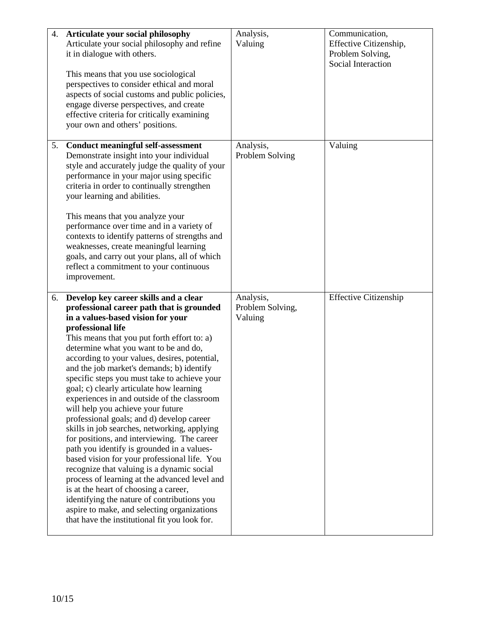| 4. | Articulate your social philosophy                                                            | Analysis,        | Communication,               |
|----|----------------------------------------------------------------------------------------------|------------------|------------------------------|
|    | Articulate your social philosophy and refine                                                 | Valuing          | Effective Citizenship,       |
|    | it in dialogue with others.                                                                  |                  | Problem Solving,             |
|    |                                                                                              |                  | Social Interaction           |
|    | This means that you use sociological                                                         |                  |                              |
|    | perspectives to consider ethical and moral                                                   |                  |                              |
|    | aspects of social customs and public policies,                                               |                  |                              |
|    |                                                                                              |                  |                              |
|    | engage diverse perspectives, and create                                                      |                  |                              |
|    | effective criteria for critically examining                                                  |                  |                              |
|    | your own and others' positions.                                                              |                  |                              |
|    |                                                                                              |                  |                              |
| 5. | <b>Conduct meaningful self-assessment</b>                                                    | Analysis,        | Valuing                      |
|    | Demonstrate insight into your individual                                                     | Problem Solving  |                              |
|    | style and accurately judge the quality of your                                               |                  |                              |
|    | performance in your major using specific                                                     |                  |                              |
|    | criteria in order to continually strengthen                                                  |                  |                              |
|    | your learning and abilities.                                                                 |                  |                              |
|    |                                                                                              |                  |                              |
|    | This means that you analyze your                                                             |                  |                              |
|    | performance over time and in a variety of                                                    |                  |                              |
|    | contexts to identify patterns of strengths and                                               |                  |                              |
|    | weaknesses, create meaningful learning                                                       |                  |                              |
|    | goals, and carry out your plans, all of which                                                |                  |                              |
|    | reflect a commitment to your continuous                                                      |                  |                              |
|    | improvement.                                                                                 |                  |                              |
|    |                                                                                              |                  |                              |
|    |                                                                                              |                  |                              |
| 6. | Develop key career skills and a clear                                                        | Analysis,        | <b>Effective Citizenship</b> |
|    | professional career path that is grounded                                                    | Problem Solving, |                              |
|    | in a values-based vision for your                                                            | Valuing          |                              |
|    | professional life                                                                            |                  |                              |
|    | This means that you put forth effort to: a)                                                  |                  |                              |
|    | determine what you want to be and do,                                                        |                  |                              |
|    | according to your values, desires, potential,                                                |                  |                              |
|    | and the job market's demands; b) identify                                                    |                  |                              |
|    | specific steps you must take to achieve your                                                 |                  |                              |
|    |                                                                                              |                  |                              |
|    | goal; c) clearly articulate how learning<br>experiences in and outside of the classroom      |                  |                              |
|    |                                                                                              |                  |                              |
|    | will help you achieve your future                                                            |                  |                              |
|    | professional goals; and d) develop career                                                    |                  |                              |
|    | skills in job searches, networking, applying                                                 |                  |                              |
|    | for positions, and interviewing. The career                                                  |                  |                              |
|    | path you identify is grounded in a values-                                                   |                  |                              |
|    | based vision for your professional life. You                                                 |                  |                              |
|    | recognize that valuing is a dynamic social                                                   |                  |                              |
|    | process of learning at the advanced level and                                                |                  |                              |
|    | is at the heart of choosing a career,                                                        |                  |                              |
|    | identifying the nature of contributions you                                                  |                  |                              |
|    | aspire to make, and selecting organizations<br>that have the institutional fit you look for. |                  |                              |